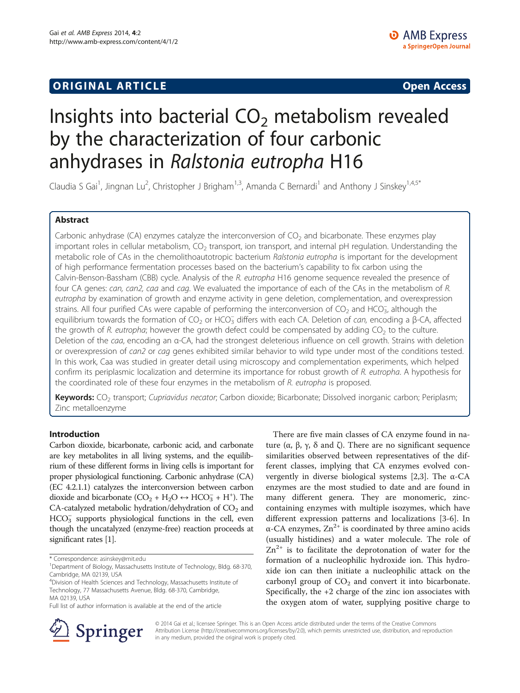## **ORIGINAL ARTICLE CONSUMING A LIGACION** CONSUMING A LIGACION CONSUMING A LIGACION CONSUMING A LIGACION CONSUMING A LIGACION CONSUMING A LIGACION CONSUMING A LIGACION CONSUMING A LIGACION CONSUMING A LIGACION CONSUMING A

# Insights into bacterial  $CO<sub>2</sub>$  metabolism revealed by the characterization of four carbonic anhydrases in Ralstonia eutropha H16

Claudia S Gai<sup>1</sup>, Jingnan Lu<sup>2</sup>, Christopher J Brigham<sup>1,3</sup>, Amanda C Bernardi<sup>1</sup> and Anthony J Sinskey<sup>1,4,5\*</sup>

## Abstract

Carbonic anhydrase (CA) enzymes catalyze the interconversion of  $CO<sub>2</sub>$  and bicarbonate. These enzymes play important roles in cellular metabolism,  $CO<sub>2</sub>$  transport, ion transport, and internal pH regulation. Understanding the metabolic role of CAs in the chemolithoautotropic bacterium Ralstonia eutropha is important for the development of high performance fermentation processes based on the bacterium's capability to fix carbon using the Calvin-Benson-Bassham (CBB) cycle. Analysis of the R. eutropha H16 genome sequence revealed the presence of four CA genes: can, can2, caa and cag. We evaluated the importance of each of the CAs in the metabolism of R. eutropha by examination of growth and enzyme activity in gene deletion, complementation, and overexpression strains. All four purified CAs were capable of performing the interconversion of  $CO_2$  and HCO<sub>3</sub>, although the equilibrium towards the formation of CO<sub>2</sub> or HCO<sub>3</sub> differs with each CA. Deletion of *can*, encoding a β-CA, affected the growth of R. eutropha; however the growth defect could be compensated by adding  $CO<sub>2</sub>$  to the culture. Deletion of the caa, encoding an α-CA, had the strongest deleterious influence on cell growth. Strains with deletion or overexpression of can2 or cag genes exhibited similar behavior to wild type under most of the conditions tested. In this work, Caa was studied in greater detail using microscopy and complementation experiments, which helped confirm its periplasmic localization and determine its importance for robust growth of R. eutropha. A hypothesis for the coordinated role of these four enzymes in the metabolism of R. eutropha is proposed.

Keywords: CO<sub>2</sub> transport; Cupriavidus necator; Carbon dioxide; Bicarbonate; Dissolved inorganic carbon; Periplasm; Zinc metalloenzyme

## Introduction

Carbon dioxide, bicarbonate, carbonic acid, and carbonate are key metabolites in all living systems, and the equilibrium of these different forms in living cells is important for proper physiological functioning. Carbonic anhydrase (CA) (EC 4.2.1.1) catalyzes the interconversion between carbon dioxide and bicarbonate  $(CO_2 + H_2O \leftrightarrow HCO_3^- + H^+)$ . The CA-catalyzed metabolic hydration/dehydration of  $CO<sub>2</sub>$  and  $HCO<sub>3</sub><sup>-</sup>$  supports physiological functions in the cell, even though the uncatalyzed (enzyme-free) reaction proceeds at significant rates [\[1\]](#page-10-0).

Full list of author information is available at the end of the article





© 2014 Gai et al.; licensee Springer. This is an Open Access article distributed under the terms of the Creative Commons Attribution License [\(http://creativecommons.org/licenses/by/2.0\)](http://creativecommons.org/licenses/by/2.0), which permits unrestricted use, distribution, and reproduction in any medium, provided the original work is properly cited.

<sup>\*</sup> Correspondence: [asinskey@mit.edu](mailto:asinskey@mit.edu) <sup>1</sup>

<sup>&</sup>lt;sup>1</sup>Department of Biology, Massachusetts Institute of Technology, Bldg. 68-370, Cambridge, MA 02139, USA

<sup>4</sup> Division of Health Sciences and Technology, Massachusetts Institute of Technology, 77 Massachusetts Avenue, Bldg. 68-370, Cambridge, MA 02139, USA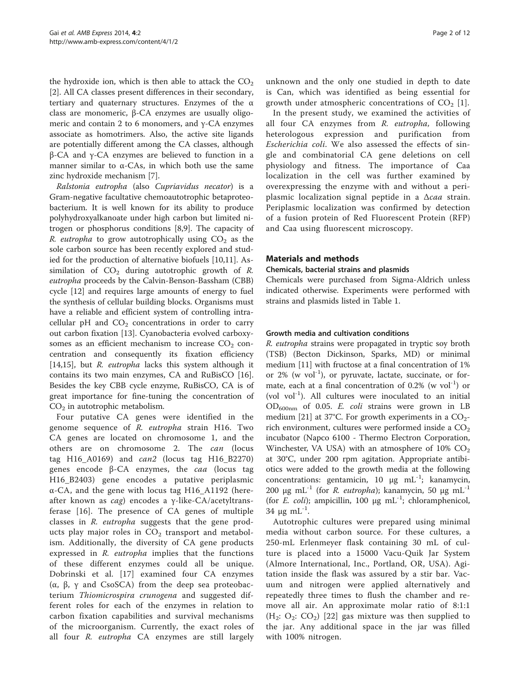<span id="page-1-0"></span>the hydroxide ion, which is then able to attack the  $CO<sub>2</sub>$ [[2\]](#page-10-0). All CA classes present differences in their secondary, tertiary and quaternary structures. Enzymes of the α class are monomeric, β-CA enzymes are usually oligomeric and contain 2 to 6 monomers, and γ-CA enzymes associate as homotrimers. Also, the active site ligands are potentially different among the CA classes, although β-CA and γ-CA enzymes are believed to function in a manner similar to  $\alpha$ -CAs, in which both use the same zinc hydroxide mechanism [[7\]](#page-11-0).

Ralstonia eutropha (also Cupriavidus necator) is a Gram-negative facultative chemoautotrophic betaproteobacterium. It is well known for its ability to produce polyhydroxyalkanoate under high carbon but limited nitrogen or phosphorus conditions [\[8,9](#page-11-0)]. The capacity of R. eutropha to grow autotrophically using  $CO<sub>2</sub>$  as the sole carbon source has been recently explored and studied for the production of alternative biofuels [[10,11\]](#page-11-0). Assimilation of  $CO<sub>2</sub>$  during autotrophic growth of R. eutropha proceeds by the Calvin-Benson-Bassham (CBB) cycle [\[12\]](#page-11-0) and requires large amounts of energy to fuel the synthesis of cellular building blocks. Organisms must have a reliable and efficient system of controlling intracellular pH and  $CO<sub>2</sub>$  concentrations in order to carry out carbon fixation [[13\]](#page-11-0). Cyanobacteria evolved carboxysomes as an efficient mechanism to increase  $CO<sub>2</sub>$  concentration and consequently its fixation efficiency [[14,15\]](#page-11-0), but *R. eutropha* lacks this system although it contains its two main enzymes, CA and RuBisCO [\[16](#page-11-0)]. Besides the key CBB cycle enzyme, RuBisCO, CA is of great importance for fine-tuning the concentration of  $CO<sub>2</sub>$  in autotrophic metabolism.

Four putative CA genes were identified in the genome sequence of R. eutropha strain H16. Two CA genes are located on chromosome 1, and the others are on chromosome 2. The can (locus tag H16\_A0169) and  $can2$  (locus tag H16\_B2270) genes encode β-CA enzymes, the caa (locus tag H16\_B2403) gene encodes a putative periplasmic α-CA, and the gene with locus tag H16\_A1192 (hereafter known as *cag*) encodes a  $γ$ -like-CA/acetyltransferase [\[16\]](#page-11-0). The presence of CA genes of multiple classes in *R. eutropha* suggests that the gene products play major roles in  $CO<sub>2</sub>$  transport and metabolism. Additionally, the diversity of CA gene products expressed in R. eutropha implies that the functions of these different enzymes could all be unique. Dobrinski et al. [\[17\]](#page-11-0) examined four CA enzymes (α, β, γ and CsoSCA) from the deep sea proteobacterium Thiomicrospira crunogena and suggested different roles for each of the enzymes in relation to carbon fixation capabilities and survival mechanisms of the microorganism. Currently, the exact roles of all four R. eutropha CA enzymes are still largely unknown and the only one studied in depth to date is Can, which was identified as being essential for growth under atmospheric concentrations of  $CO<sub>2</sub>$  [\[1](#page-10-0)].

In the present study, we examined the activities of all four CA enzymes from R. eutropha, following heterologous expression and purification from Escherichia coli. We also assessed the effects of single and combinatorial CA gene deletions on cell physiology and fitness. The importance of Caa localization in the cell was further examined by overexpressing the enzyme with and without a periplasmic localization signal peptide in a  $\Delta caa$  strain. Periplasmic localization was confirmed by detection of a fusion protein of Red Fluorescent Protein (RFP) and Caa using fluorescent microscopy.

#### Materials and methods

#### Chemicals, bacterial strains and plasmids

Chemicals were purchased from Sigma-Aldrich unless indicated otherwise. Experiments were performed with strains and plasmids listed in Table [1.](#page-2-0)

#### Growth media and cultivation conditions

R. eutropha strains were propagated in tryptic soy broth (TSB) (Becton Dickinson, Sparks, MD) or minimal medium [[11\]](#page-11-0) with fructose at a final concentration of 1% or  $2\%$  (w vol<sup>-1</sup>), or pyruvate, lactate, succinate, or formate, each at a final concentration of  $0.2\%$  (w vol<sup>-1</sup>) or (vol vol $^{-1}$ ). All cultures were inoculated to an initial OD600nm of 0.05. E. coli strains were grown in LB medium [[21\]](#page-11-0) at 37°C. For growth experiments in a  $CO_2$ rich environment, cultures were performed inside a  $CO<sub>2</sub>$ incubator (Napco 6100 - Thermo Electron Corporation, Winchester, VA USA) with an atmosphere of  $10\%$  CO<sub>2</sub> at 30°C, under 200 rpm agitation. Appropriate antibiotics were added to the growth media at the following concentrations: gentamicin, 10 μg mL<sup>-1</sup>; kanamycin, 200 μg mL<sup>-1</sup> (for *R. eutropha*); kanamycin, 50 μg mL<sup>-1</sup> (for E. coli); ampicillin, 100  $\mu$ g mL<sup>-1</sup>; chloramphenicol,  $34 \mu g \text{ mL}^{-1}$ .

Autotrophic cultures were prepared using minimal media without carbon source. For these cultures, a 250-mL Erlenmeyer flask containing 30 mL of culture is placed into a 15000 Vacu-Quik Jar System (Almore International, Inc., Portland, OR, USA). Agitation inside the flask was assured by a stir bar. Vacuum and nitrogen were applied alternatively and repeatedly three times to flush the chamber and remove all air. An approximate molar ratio of 8:1:1  $(H_2: O_2: CO_2)$  [[22](#page-11-0)] gas mixture was then supplied to the jar. Any additional space in the jar was filled with 100% nitrogen.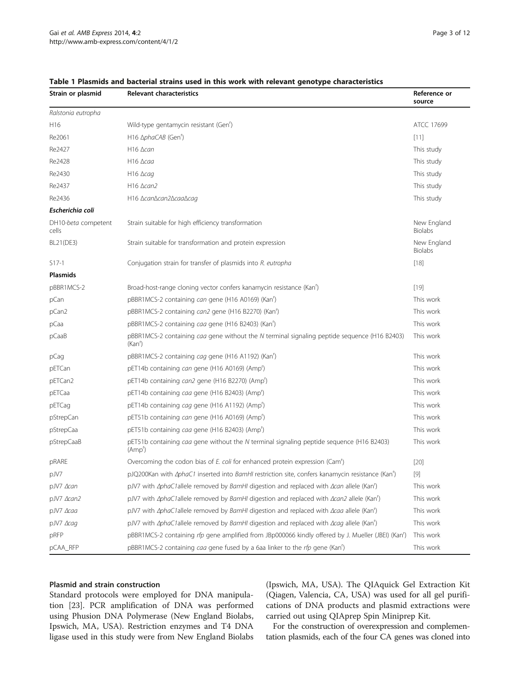| Strain or plasmid            | <b>Relevant characteristics</b>                                                                                             | Reference or<br>source        |
|------------------------------|-----------------------------------------------------------------------------------------------------------------------------|-------------------------------|
| Ralstonia eutropha           |                                                                                                                             |                               |
| H16                          | Wild-type gentamycin resistant (Gen <sup>'</sup> )                                                                          | ATCC 17699                    |
| Re2061                       | H16 Δ <i>phaCAB</i> (Gen <sup>r</sup> )                                                                                     | [11]                          |
| Re2427                       | $H16$ $\Delta$ can                                                                                                          | This study                    |
| Re2428                       | $H16 \triangle$ caa                                                                                                         | This study                    |
| Re2430                       | $H16 \triangle$ cag                                                                                                         | This study                    |
| Re2437                       | $H16 \triangle can2$                                                                                                        | This study                    |
| Re2436                       | H16 ∆can∆can2∆caa∆caq                                                                                                       | This study                    |
| Escherichia coli             |                                                                                                                             |                               |
| DH10-beta competent<br>cells | Strain suitable for high efficiency transformation                                                                          | New England<br><b>Biolabs</b> |
| BL21(DE3)                    | Strain suitable for transformation and protein expression                                                                   | New England<br><b>Biolabs</b> |
| $S17-1$                      | Conjugation strain for transfer of plasmids into R. eutropha                                                                | $[18]$                        |
| <b>Plasmids</b>              |                                                                                                                             |                               |
| pBBR1MCS-2                   | Broad-host-range cloning vector confers kanamycin resistance (Kan')                                                         | $[19]$                        |
| pCan                         | pBBR1MCS-2 containing can gene (H16 A0169) (Kan')                                                                           | This work                     |
| pCan2                        | pBBR1MCS-2 containing can2 gene (H16 B2270) (Kan <sup>r</sup> )                                                             | This work                     |
| pCaa                         | pBBR1MCS-2 containing caa gene (H16 B2403) (Kan')                                                                           | This work                     |
| $p$ Caa $B$                  | pBBR1MCS-2 containing caa gene without the N terminal signaling peptide sequence (H16 B2403)<br>(Kan')                      | This work                     |
| pCag                         | pBBR1MCS-2 containing cag gene (H16 A1192) (Kan')                                                                           | This work                     |
| pETCan                       | pET14b containing can gene (H16 A0169) (Amp')                                                                               | This work                     |
| pETCan2                      | pET14b containing can2 gene (H16 B2270) (Amp <sup>r</sup> )                                                                 | This work                     |
| pETCaa                       | pET14b containing caa gene (H16 B2403) (Amp <sup>r</sup> )                                                                  | This work                     |
| pETCag                       | pET14b containing cag gene (H16 A1192) (Amp <sup>r</sup> )                                                                  | This work                     |
| pStrepCan                    | pET51b containing can gene (H16 A0169) (Amp')                                                                               | This work                     |
| pStrepCaa                    | pET51b containing caa gene (H16 B2403) (Amp <sup>r</sup> )                                                                  | This work                     |
| pStrepCaaB                   | pET51b containing caa gene without the N terminal signaling peptide sequence (H16 B2403)<br>(Amp')                          | This work                     |
| pRARE                        | Overcoming the codon bias of E. coli for enhanced protein expression (Cam <sup>r</sup> )                                    | $[20]$                        |
| pJV7                         | pJQ200Kan with <i>AphaC1</i> inserted into <i>BamHI</i> restriction site, confers kanamycin resistance (Kan <sup>r</sup> )  | $[9]$                         |
| pJV7 ∆can                    | pJV7 with <i>AphaC1allele removed by BamHI</i> digestion and replaced with <i>Acan allele</i> (Kan <sup>r</sup> )           | This work                     |
| pJV7 ∆can2                   | pJV7 with <i>AphaC1allele removed by BamHI digestion and replaced with <math>\Delta</math>can2 allele (Kan<sup>r</sup>)</i> | This work                     |
| pJV7 Acaa                    | pJV7 with <i>AphaC1allele removed by BamHI</i> digestion and replaced with <i>Acaa</i> allele (Kan <sup>r</sup> )           | This work                     |
| pJV7 Acaq                    | pJV7 with <i>AphaC1allele removed by BamHI</i> digestion and replaced with <i>Acaq allele</i> (Kan <sup>r</sup> )           | This work                     |
| pRFP                         | pBBR1MCS-2 containing rfp gene amplified from JBp000066 kindly offered by J. Mueller (JBEI) (Kan <sup>r</sup> )             | This work                     |
| pCAA_RFP                     | pBBR1MCS-2 containing caa gene fused by a 6aa linker to the rfp gene (Kan <sup>r</sup> )                                    | This work                     |

#### <span id="page-2-0"></span>Table 1 Plasmids and bacterial strains used in this work with relevant genotype characteristics

#### Plasmid and strain construction

Standard protocols were employed for DNA manipulation [[23\]](#page-11-0). PCR amplification of DNA was performed using Phusion DNA Polymerase (New England Biolabs, Ipswich, MA, USA). Restriction enzymes and T4 DNA ligase used in this study were from New England Biolabs (Ipswich, MA, USA). The QIAquick Gel Extraction Kit (Qiagen, Valencia, CA, USA) was used for all gel purifications of DNA products and plasmid extractions were carried out using QIAprep Spin Miniprep Kit.

For the construction of overexpression and complementation plasmids, each of the four CA genes was cloned into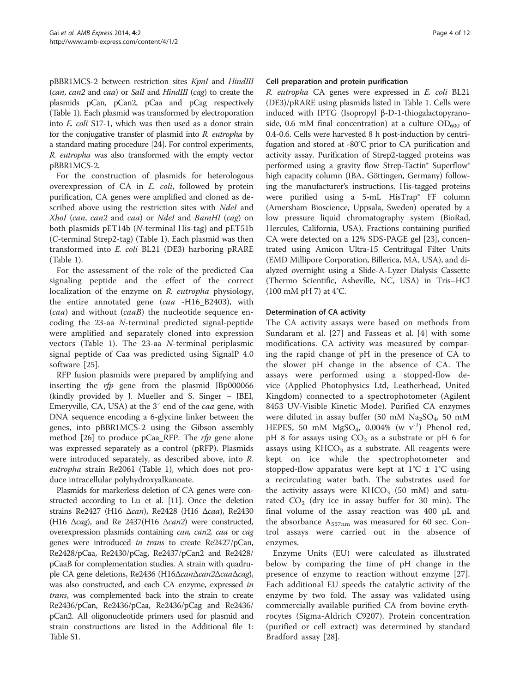pBBR1MCS-2 between restriction sites KpnI and HindIII (can, can2 and caa) or SalI and HindIII (cag) to create the plasmids pCan, pCan2, pCaa and pCag respectively (Table [1](#page-2-0)). Each plasmid was transformed by electroporation into E. coli S17-1, which was then used as a donor strain for the conjugative transfer of plasmid into R. eutropha by a standard mating procedure [\[24](#page-11-0)]. For control experiments, R. eutropha was also transformed with the empty vector pBBR1MCS-2.

For the construction of plasmids for heterologous overexpression of CA in E. coli, followed by protein purification, CA genes were amplified and cloned as described above using the restriction sites with NdeI and XhoI (can, can2 and caa) or NdeI and BamHI (cag) on both plasmids pET14b (N-terminal His-tag) and pET51b (C-terminal Strep2-tag) (Table [1\)](#page-2-0). Each plasmid was then transformed into E. coli BL21 (DE3) harboring pRARE (Table [1\)](#page-2-0).

For the assessment of the role of the predicted Caa signaling peptide and the effect of the correct localization of the enzyme on R. eutropha physiology, the entire annotated gene (caa -H16\_B2403), with (caa) and without (caaB) the nucleotide sequence encoding the 23-aa N-terminal predicted signal-peptide were amplified and separately cloned into expression vectors (Table [1\)](#page-2-0). The 23-aa N-terminal periplasmic signal peptide of Caa was predicted using SignalP 4.0 software [[25\]](#page-11-0).

RFP fusion plasmids were prepared by amplifying and inserting the  $rfp$  gene from the plasmid JBp000066 (kindly provided by J. Mueller and S. Singer – JBEI, Emeryville, CA, USA) at the 3′ end of the caa gene, with DNA sequence encoding a 6-glycine linker between the genes, into pBBR1MCS-2 using the Gibson assembly method [\[26](#page-11-0)] to produce pCaa\_RFP. The  $rfp$  gene alone was expressed separately as a control (pRFP). Plasmids were introduced separately, as described above, into R. eutropha strain Re2061 (Table [1\)](#page-2-0), which does not produce intracellular polyhydroxyalkanoate.

Plasmids for markerless deletion of CA genes were constructed according to Lu et al. [\[11\]](#page-11-0). Once the deletion strains Re2427 (H16 Δcan), Re2428 (H16 Δcaa), Re2430 (H16  $\Delta$ cag), and Re 2437(H16  $\Delta$ can2) were constructed, overexpression plasmids containing can, can2, caa or cag genes were introduced in trans to create Re2427/pCan, Re2428/pCaa, Re2430/pCag, Re2437/pCan2 and Re2428/ pCaaB for complementation studies. A strain with quadruple CA gene deletions, Re2436 (H16ΔcanΔcan2ΔcaaΔcag), was also constructed, and each CA enzyme, expressed in trans, was complemented back into the strain to create Re2436/pCan, Re2436/pCaa, Re2436/pCag and Re2436/ pCan2. All oligonucleotide primers used for plasmid and strain constructions are listed in the Additional file [1](#page-10-0): Table S1.

## Cell preparation and protein purification

R. eutropha CA genes were expressed in E. coli BL21 (DE3)/pRARE using plasmids listed in Table [1.](#page-2-0) Cells were induced with IPTG (Isopropyl β-D-1-thiogalactopyranoside, 0.6 mM final concentration) at a culture  $OD_{600}$  of 0.4-0.6. Cells were harvested 8 h post-induction by centrifugation and stored at -80°C prior to CA purification and activity assay. Purification of Strep2-tagged proteins was performed using a gravity flow Strep-Tactin® Superflow® high capacity column (IBA, Göttingen, Germany) following the manufacturer's instructions. His-tagged proteins were purified using a 5-mL HisTrap® FF column (Amersham Bioscience, Uppsala, Sweden) operated by a low pressure liquid chromatography system (BioRad, Hercules, California, USA). Fractions containing purified CA were detected on a 12% SDS-PAGE gel [\[23\]](#page-11-0), concentrated using Amicon Ultra-15 Centrifugal Filter Units (EMD Millipore Corporation, Billerica, MA, USA), and dialyzed overnight using a Slide-A-Lyzer Dialysis Cassette (Thermo Scientific, Asheville, NC, USA) in Tris–HCl (100 mM pH 7) at 4°C.

## Determination of CA activity

The CA activity assays were based on methods from Sundaram et al. [[27\]](#page-11-0) and Fasseas et al. [[4\]](#page-10-0) with some modifications. CA activity was measured by comparing the rapid change of pH in the presence of CA to the slower pH change in the absence of CA. The assays were performed using a stopped-flow device (Applied Photophysics Ltd, Leatherhead, United Kingdom) connected to a spectrophotometer (Agilent 8453 UV-Visible Kinetic Mode). Purified CA enzymes were diluted in assay buffer (50 mM  $Na<sub>2</sub>SO<sub>4</sub>$ , 50 mM HEPES, 50 mM MgSO<sub>4</sub>, 0.004% (w  $v^{-1}$ ) Phenol red, pH 8 for assays using  $CO<sub>2</sub>$  as a substrate or pH 6 for assays using  $KHCO<sub>3</sub>$  as a substrate. All reagents were kept on ice while the spectrophotometer and stopped-flow apparatus were kept at  $1^{\circ}C \pm 1^{\circ}C$  using a recirculating water bath. The substrates used for the activity assays were  $KHCO<sub>3</sub>$  (50 mM) and saturated  $CO<sub>2</sub>$  (dry ice in assay buffer for 30 min). The final volume of the assay reaction was 400 μL and the absorbance  $A_{557nm}$  was measured for 60 sec. Control assays were carried out in the absence of enzymes.

Enzyme Units (EU) were calculated as illustrated below by comparing the time of pH change in the presence of enzyme to reaction without enzyme [\[27](#page-11-0)]. Each additional EU speeds the catalytic activity of the enzyme by two fold. The assay was validated using commercially available purified CA from bovine erythrocytes (Sigma-Aldrich C9207). Protein concentration (purified or cell extract) was determined by standard Bradford assay [[28\]](#page-11-0).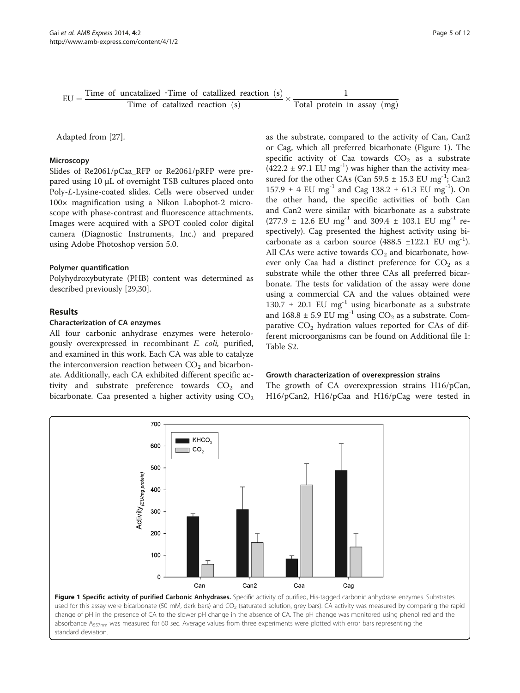<span id="page-4-0"></span>

Adapted from [\[27\]](#page-11-0).

#### **Microscopy**

Slides of Re2061/pCaa\_RFP or Re2061/pRFP were prepared using 10 μL of overnight TSB cultures placed onto Poly-L-Lysine-coated slides. Cells were observed under 100× magnification using a Nikon Labophot-2 microscope with phase-contrast and fluorescence attachments. Images were acquired with a SPOT cooled color digital camera (Diagnostic Instruments, Inc.) and prepared using Adobe Photoshop version 5.0.

#### Polymer quantification

Polyhydroxybutyrate (PHB) content was determined as described previously [\[29,30\]](#page-11-0).

#### Results

#### Characterization of CA enzymes

All four carbonic anhydrase enzymes were heterologously overexpressed in recombinant E. coli, purified, and examined in this work. Each CA was able to catalyze the interconversion reaction between  $CO<sub>2</sub>$  and bicarbonate. Additionally, each CA exhibited different specific activity and substrate preference towards  $CO<sub>2</sub>$  and bicarbonate. Caa presented a higher activity using  $CO<sub>2</sub>$  as the substrate, compared to the activity of Can, Can2 or Cag, which all preferred bicarbonate (Figure 1). The specific activity of Caa towards  $CO<sub>2</sub>$  as a substrate  $(422.2 \pm 97.1 \text{ EU mg}^{-1})$  was higher than the activity measured for the other CAs (Can  $59.5 \pm 15.3$  EU mg<sup>-1</sup>; Can2 157.9  $\pm$  4 EU mg<sup>-1</sup> and Cag 138.2  $\pm$  61.3 EU mg<sup>-1</sup>). On the other hand, the specific activities of both Can and Can2 were similar with bicarbonate as a substrate  $(277.9 \pm 12.6 \text{ EU mg}^{-1} \text{ and } 309.4 \pm 103.1 \text{ EU mg}^{-1} \text{ re-}$ spectively). Cag presented the highest activity using bicarbonate as a carbon source  $(488.5 \pm 122.1 \text{ EU mg}^{-1})$ . All CAs were active towards  $CO<sub>2</sub>$  and bicarbonate, however only Caa had a distinct preference for  $CO<sub>2</sub>$  as a substrate while the other three CAs all preferred bicarbonate. The tests for validation of the assay were done using a commercial CA and the values obtained were 130.7  $\pm$  20.1 EU mg<sup>-1</sup> using bicarbonate as a substrate and 168.8  $\pm$  5.9 EU mg<sup>-1</sup> using CO<sub>2</sub> as a substrate. Comparative  $CO<sub>2</sub>$  hydration values reported for CAs of different microorganisms can be found on Additional file [1](#page-10-0): Table S2.

#### Growth characterization of overexpression strains

The growth of CA overexpression strains H16/pCan, H16/pCan2, H16/pCaa and H16/pCag were tested in



used for this assay were bicarbonate (50 mM, dark bars) and CO<sub>2</sub> (saturated solution, grey bars). CA activity was measured by comparing the rapid change of pH in the presence of CA to the slower pH change in the absence of CA. The pH change was monitored using phenol red and the absorbance  $A_{557nm}$  was measured for 60 sec. Average values from three experiments were plotted with error bars representing the standard deviation.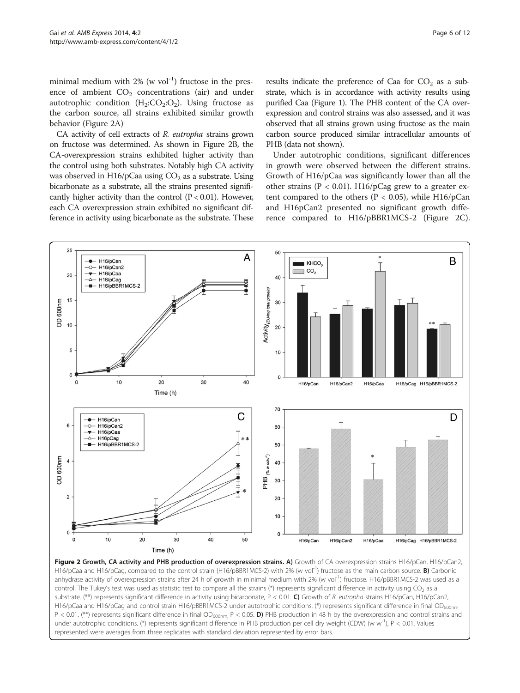<span id="page-5-0"></span>minimal medium with  $2\%$  (w vol<sup>-1</sup>) fructose in the presence of ambient  $CO<sub>2</sub>$  concentrations (air) and under autotrophic condition  $(H_2:CO_2:O_2)$ . Using fructose as the carbon source, all strains exhibited similar growth behavior (Figure 2A)

CA activity of cell extracts of R. eutropha strains grown on fructose was determined. As shown in Figure 2B, the CA-overexpression strains exhibited higher activity than the control using both substrates. Notably high CA activity was observed in H16/pCaa using  $CO<sub>2</sub>$  as a substrate. Using bicarbonate as a substrate, all the strains presented significantly higher activity than the control  $(P < 0.01)$ . However, each CA overexpression strain exhibited no significant difference in activity using bicarbonate as the substrate. These results indicate the preference of Caa for  $CO<sub>2</sub>$  as a substrate, which is in accordance with activity results using purified Caa (Figure [1](#page-4-0)). The PHB content of the CA overexpression and control strains was also assessed, and it was observed that all strains grown using fructose as the main carbon source produced similar intracellular amounts of PHB (data not shown).

Under autotrophic conditions, significant differences in growth were observed between the different strains. Growth of H16/pCaa was significantly lower than all the other strains ( $P < 0.01$ ). H16/pCag grew to a greater extent compared to the others ( $P < 0.05$ ), while H16/pCan and H16pCan2 presented no significant growth difference compared to H16/pBBR1MCS-2 (Figure 2C).



Figure 2 Growth, CA activity and PHB production of overexpression strains. A) Growth of CA overexpression strains H16/pCan, H16/pCan2, H16/pCaa and H16/pCag, compared to the control strain (H16/pBBR1MCS-2) with 2% (w vol<sup>-1</sup>) fructose as the main carbon source. **B)** Carbonic anhydrase activity of overexpression strains after 24 h of growth in minimal medium with 2% (w vol<sup>-1</sup>) fructose. H16/pBBR1MCS-2 was used as a control. The Tukey's test was used as statistic test to compare all the strains (\*) represents significant difference in activity using  $CO<sub>2</sub>$  as a substrate. (\*\*) represents significant difference in activity using bicarbonate,  $P < 0.01$ . C) Growth of R. eutropha strains H16/pCan, H16/pCan2, H16/pCaa and H16/pCag and control strain H16/pBBR1MCS-2 under autotrophic conditions. (\*) represents significant difference in final OD<sub>600nm</sub> P < 0.01. (\*\*) represents significant difference in final OD<sub>600nm</sub>, P < 0.05. D) PHB production in 48 h by the overexpression and control strains and under autotrophic conditions. (\*) represents significant difference in PHB production per cell dry weight (CDW) (w w<sup>-1</sup>), P < 0.01. Values represented were averages from three replicates with standard deviation represented by error bars.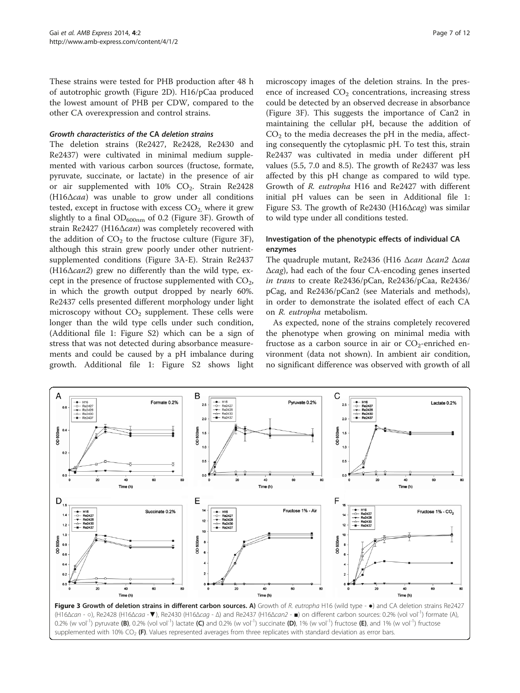<span id="page-6-0"></span>These strains were tested for PHB production after 48 h of autotrophic growth (Figure [2](#page-5-0)D). H16/pCaa produced the lowest amount of PHB per CDW, compared to the other CA overexpression and control strains.

#### Growth characteristics of the CA deletion strains

The deletion strains (Re2427, Re2428, Re2430 and Re2437) were cultivated in minimal medium supplemented with various carbon sources (fructose, formate, pyruvate, succinate, or lactate) in the presence of air or air supplemented with  $10\%$  CO<sub>2</sub>. Strain Re2428 (H16Δcaa) was unable to grow under all conditions tested, except in fructose with excess  $CO<sub>2</sub>$  where it grew slightly to a final  $OD_{600nm}$  of 0.2 (Figure 3F). Growth of strain Re2427 (H16Δcan) was completely recovered with the addition of  $CO<sub>2</sub>$  to the fructose culture (Figure 3F), although this strain grew poorly under other nutrientsupplemented conditions (Figure 3A-E). Strain Re2437 (H16Δcan2) grew no differently than the wild type, except in the presence of fructose supplemented with  $CO<sub>2</sub>$ , in which the growth output dropped by nearly 60%. Re2437 cells presented different morphology under light microscopy without  $CO<sub>2</sub>$  supplement. These cells were longer than the wild type cells under such condition, (Additional file [1:](#page-10-0) Figure S2) which can be a sign of stress that was not detected during absorbance measurements and could be caused by a pH imbalance during growth. Additional file [1](#page-10-0): Figure S2 shows light

microscopy images of the deletion strains. In the presence of increased  $CO<sub>2</sub>$  concentrations, increasing stress could be detected by an observed decrease in absorbance (Figure 3F). This suggests the importance of Can2 in maintaining the cellular pH, because the addition of  $CO<sub>2</sub>$  to the media decreases the pH in the media, affecting consequently the cytoplasmic pH. To test this, strain Re2437 was cultivated in media under different pH values (5.5, 7.0 and 8.5). The growth of Re2437 was less affected by this pH change as compared to wild type. Growth of R. eutropha H16 and Re2427 with different initial pH values can be seen in Additional file [1](#page-10-0): Figure S3. The growth of Re2430 (H16 $\Delta$ cag) was similar to wild type under all conditions tested.

## Investigation of the phenotypic effects of individual CA enzymes

The quadruple mutant, Re2436 (H16 Δcan Δcan2 Δcaa Δcag), had each of the four CA-encoding genes inserted in trans to create Re2436/pCan, Re2436/pCaa, Re2436/ pCag, and Re2436/pCan2 (see [Materials and methods](#page-1-0)), in order to demonstrate the isolated effect of each CA on R. eutropha metabolism.

As expected, none of the strains completely recovered the phenotype when growing on minimal media with fructose as a carbon source in air or  $CO_2$ -enriched environment (data not shown). In ambient air condition, no significant difference was observed with growth of all



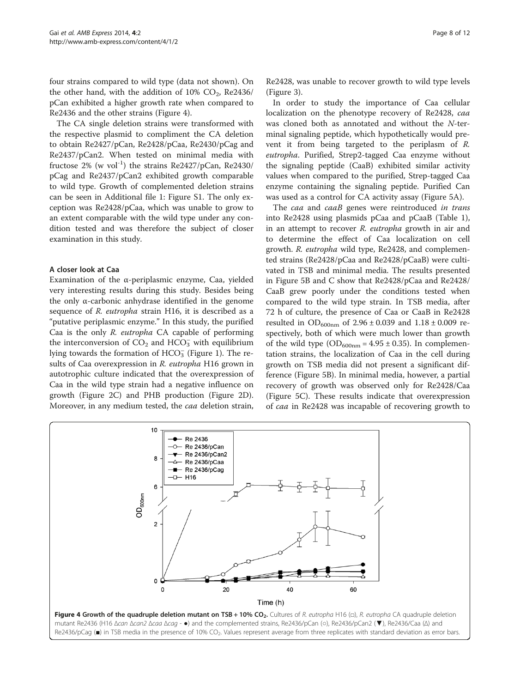<span id="page-7-0"></span>four strains compared to wild type (data not shown). On the other hand, with the addition of  $10\%$  CO<sub>2</sub>, Re2436/ pCan exhibited a higher growth rate when compared to Re2436 and the other strains (Figure 4).

The CA single deletion strains were transformed with the respective plasmid to compliment the CA deletion to obtain Re2427/pCan, Re2428/pCaa, Re2430/pCag and Re2437/pCan2. When tested on minimal media with fructose 2% (w vol<sup>-1</sup>) the strains Re2427/pCan, Re2430/ pCag and Re2437/pCan2 exhibited growth comparable to wild type. Growth of complemented deletion strains can be seen in Additional file [1](#page-10-0): Figure S1. The only exception was Re2428/pCaa, which was unable to grow to an extent comparable with the wild type under any condition tested and was therefore the subject of closer examination in this study.

## A closer look at Caa

Examination of the α-periplasmic enzyme, Caa, yielded very interesting results during this study. Besides being the only α-carbonic anhydrase identified in the genome sequence of R. eutropha strain H16, it is described as a "putative periplasmic enzyme." In this study, the purified Caa is the only R. eutropha CA capable of performing the interconversion of  $CO<sub>2</sub>$  and  $HCO<sub>3</sub>$  with equilibrium lying towards the formation of  $\text{HCO}_3^+$  (Figure [1](#page-4-0)). The results of Caa overexpression in R. eutropha H16 grown in autotrophic culture indicated that the overexpression of Caa in the wild type strain had a negative influence on growth (Figure [2C](#page-5-0)) and PHB production (Figure [2](#page-5-0)D). Moreover, in any medium tested, the caa deletion strain, Re2428, was unable to recover growth to wild type levels (Figure [3\)](#page-6-0).

In order to study the importance of Caa cellular localization on the phenotype recovery of Re2428, caa was cloned both as annotated and without the N-terminal signaling peptide, which hypothetically would prevent it from being targeted to the periplasm of R. eutropha. Purified, Strep2-tagged Caa enzyme without the signaling peptide (CaaB) exhibited similar activity values when compared to the purified, Strep-tagged Caa enzyme containing the signaling peptide. Purified Can was used as a control for CA activity assay (Figure [5](#page-8-0)A).

The caa and caaB genes were reintroduced in trans into Re2428 using plasmids pCaa and pCaaB (Table [1](#page-2-0)), in an attempt to recover R. eutropha growth in air and to determine the effect of Caa localization on cell growth. R. eutropha wild type, Re2428, and complemented strains (Re2428/pCaa and Re2428/pCaaB) were cultivated in TSB and minimal media. The results presented in Figure [5B](#page-8-0) and C show that Re2428/pCaa and Re2428/ CaaB grew poorly under the conditions tested when compared to the wild type strain. In TSB media, after 72 h of culture, the presence of Caa or CaaB in Re2428 resulted in  $OD_{600nm}$  of 2.96 ± 0.039 and 1.18 ± 0.009 respectively, both of which were much lower than growth of the wild type  $OD_{600nm} = 4.95 \pm 0.35$ ). In complementation strains, the localization of Caa in the cell during growth on TSB media did not present a significant difference (Figure [5B](#page-8-0)). In minimal media, however, a partial recovery of growth was observed only for Re2428/Caa (Figure [5](#page-8-0)C). These results indicate that overexpression of caa in Re2428 was incapable of recovering growth to

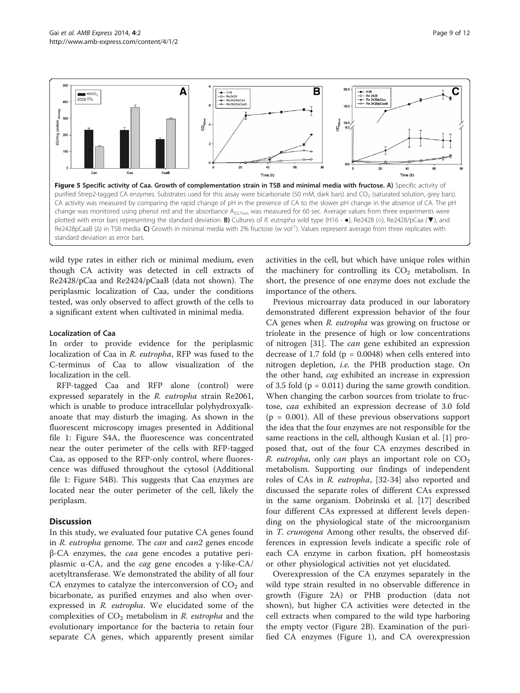<span id="page-8-0"></span>

wild type rates in either rich or minimal medium, even though CA activity was detected in cell extracts of Re2428/pCaa and Re2424/pCaaB (data not shown). The periplasmic localization of Caa, under the conditions tested, was only observed to affect growth of the cells to a significant extent when cultivated in minimal media.

#### Localization of Caa

In order to provide evidence for the periplasmic localization of Caa in R. eutropha, RFP was fused to the C-terminus of Caa to allow visualization of the localization in the cell.

RFP-tagged Caa and RFP alone (control) were expressed separately in the R. eutropha strain Re2061, which is unable to produce intracellular polyhydroxyalkanoate that may disturb the imaging. As shown in the fluorescent microscopy images presented in Additional file [1](#page-10-0): Figure S4A, the fluorescence was concentrated near the outer perimeter of the cells with RFP-tagged Caa, as opposed to the RFP-only control, where fluorescence was diffused throughout the cytosol (Additional file [1](#page-10-0): Figure S4B). This suggests that Caa enzymes are located near the outer perimeter of the cell, likely the periplasm.

## **Discussion**

In this study, we evaluated four putative CA genes found in R. eutropha genome. The can and can2 genes encode  $β$ -CA enzymes, the *caa* gene encodes a putative periplasmic  $α$ -CA, and the *cag* gene encodes a  $γ$ -like-CA/ acetyltransferase. We demonstrated the ability of all four CA enzymes to catalyze the interconversion of  $CO<sub>2</sub>$  and bicarbonate, as purified enzymes and also when overexpressed in R. eutropha. We elucidated some of the complexities of  $CO<sub>2</sub>$  metabolism in R. eutropha and the evolutionary importance for the bacteria to retain four separate CA genes, which apparently present similar activities in the cell, but which have unique roles within the machinery for controlling its  $CO<sub>2</sub>$  metabolism. In short, the presence of one enzyme does not exclude the importance of the others.

Previous microarray data produced in our laboratory demonstrated different expression behavior of the four CA genes when R. eutropha was growing on fructose or trioleate in the presence of high or low concentrations of nitrogen [[31](#page-11-0)]. The can gene exhibited an expression decrease of 1.7 fold ( $p = 0.0048$ ) when cells entered into nitrogen depletion, i.e. the PHB production stage. On the other hand, cag exhibited an increase in expression of 3.5 fold  $(p = 0.011)$  during the same growth condition. When changing the carbon sources from triolate to fructose, caa exhibited an expression decrease of 3.0 fold  $(p = 0.001)$ . All of these previous observations support the idea that the four enzymes are not responsible for the same reactions in the cell, although Kusian et al. [[1\]](#page-10-0) proposed that, out of the four CA enzymes described in *R. eutropha,* only *can* plays an important role on  $CO<sub>2</sub>$ metabolism. Supporting our findings of independent roles of CAs in R. eutropha, [[32](#page-11-0)-[34\]](#page-11-0) also reported and discussed the separate roles of different CAs expressed in the same organism. Dobrinski et al. [[17\]](#page-11-0) described four different CAs expressed at different levels depending on the physiological state of the microorganism in T. crunogena Among other results, the observed differences in expression levels indicate a specific role of each CA enzyme in carbon fixation, pH homeostasis or other physiological activities not yet elucidated.

Overexpression of the CA enzymes separately in the wild type strain resulted in no observable difference in growth (Figure [2A](#page-5-0)) or PHB production (data not shown), but higher CA activities were detected in the cell extracts when compared to the wild type harboring the empty vector (Figure [2](#page-5-0)B). Examination of the purified CA enzymes (Figure [1\)](#page-4-0), and CA overexpression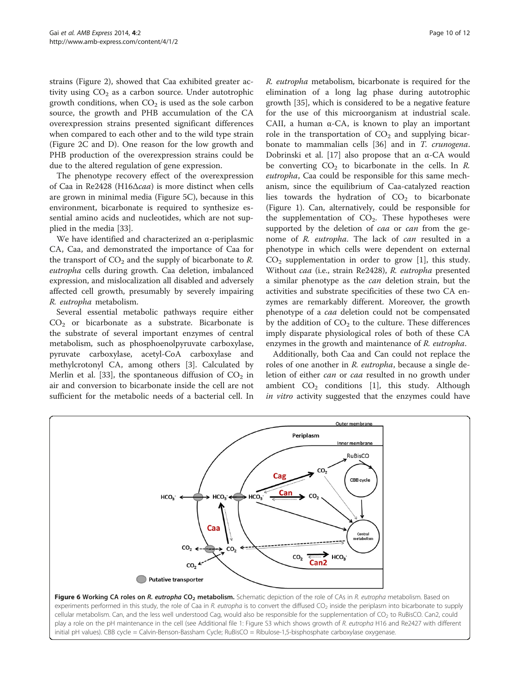<span id="page-9-0"></span>strains (Figure [2](#page-5-0)), showed that Caa exhibited greater activity using  $CO<sub>2</sub>$  as a carbon source. Under autotrophic growth conditions, when  $CO<sub>2</sub>$  is used as the sole carbon source, the growth and PHB accumulation of the CA overexpression strains presented significant differences when compared to each other and to the wild type strain (Figure [2](#page-5-0)C and D). One reason for the low growth and PHB production of the overexpression strains could be due to the altered regulation of gene expression.

The phenotype recovery effect of the overexpression of Caa in Re2428 (H16Δcaa) is more distinct when cells are grown in minimal media (Figure [5](#page-8-0)C), because in this environment, bicarbonate is required to synthesize essential amino acids and nucleotides, which are not supplied in the media [\[33\]](#page-11-0).

We have identified and characterized an α-periplasmic CA, Caa, and demonstrated the importance of Caa for the transport of  $CO<sub>2</sub>$  and the supply of bicarbonate to R. eutropha cells during growth. Caa deletion, imbalanced expression, and mislocalization all disabled and adversely affected cell growth, presumably by severely impairing R. eutropha metabolism.

Several essential metabolic pathways require either  $CO<sub>2</sub>$  or bicarbonate as a substrate. Bicarbonate is the substrate of several important enzymes of central metabolism, such as phosphoenolpyruvate carboxylase, pyruvate carboxylase, acetyl-CoA carboxylase and methylcrotonyl CA, among others [[3](#page-10-0)]. Calculated by Merlin et al. [[33\]](#page-11-0), the spontaneous diffusion of  $CO<sub>2</sub>$  in air and conversion to bicarbonate inside the cell are not sufficient for the metabolic needs of a bacterial cell. In

R. eutropha metabolism, bicarbonate is required for the elimination of a long lag phase during autotrophic growth [[35\]](#page-11-0), which is considered to be a negative feature for the use of this microorganism at industrial scale. CAII, a human  $\alpha$ -CA, is known to play an important role in the transportation of  $CO<sub>2</sub>$  and supplying bicar-bonate to mammalian cells [\[36\]](#page-11-0) and in T. crunogena. Dobrinski et al. [[17\]](#page-11-0) also propose that an  $α$ -CA would be converting  $CO<sub>2</sub>$  to bicarbonate in the cells. In R. eutropha, Caa could be responsible for this same mechanism, since the equilibrium of Caa-catalyzed reaction lies towards the hydration of  $CO<sub>2</sub>$  to bicarbonate (Figure [1\)](#page-4-0). Can, alternatively, could be responsible for the supplementation of  $CO<sub>2</sub>$ . These hypotheses were supported by the deletion of *caa* or *can* from the genome of R. eutropha. The lack of can resulted in a phenotype in which cells were dependent on external  $CO<sub>2</sub>$  supplementation in order to grow [\[1](#page-10-0)], this study. Without caa (i.e., strain Re2428), R. eutropha presented a similar phenotype as the can deletion strain, but the activities and substrate specificities of these two CA enzymes are remarkably different. Moreover, the growth phenotype of a caa deletion could not be compensated by the addition of  $CO<sub>2</sub>$  to the culture. These differences imply disparate physiological roles of both of these CA enzymes in the growth and maintenance of R. eutropha.

Additionally, both Caa and Can could not replace the roles of one another in R. eutropha, because a single deletion of either *can* or *caa* resulted in no growth under ambient  $CO<sub>2</sub>$  conditions [\[1](#page-10-0)], this study. Although in vitro activity suggested that the enzymes could have



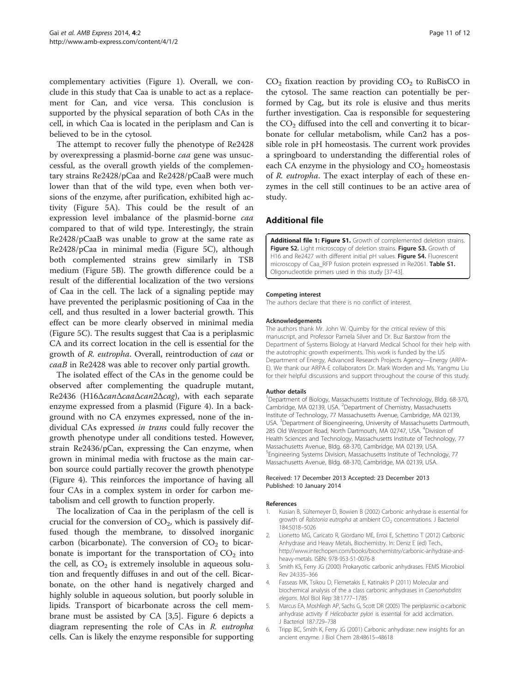<span id="page-10-0"></span>complementary activities (Figure [1](#page-4-0)). Overall, we conclude in this study that Caa is unable to act as a replacement for Can, and vice versa. This conclusion is supported by the physical separation of both CAs in the cell, in which Caa is located in the periplasm and Can is believed to be in the cytosol.

The attempt to recover fully the phenotype of Re2428 by overexpressing a plasmid-borne caa gene was unsuccessful, as the overall growth yields of the complementary strains Re2428/pCaa and Re2428/pCaaB were much lower than that of the wild type, even when both versions of the enzyme, after purification, exhibited high activity (Figure [5](#page-8-0)A). This could be the result of an expression level imbalance of the plasmid-borne caa compared to that of wild type. Interestingly, the strain Re2428/pCaaB was unable to grow at the same rate as Re2428/pCaa in minimal media (Figure [5](#page-8-0)C), although both complemented strains grew similarly in TSB medium (Figure [5B](#page-8-0)). The growth difference could be a result of the differential localization of the two versions of Caa in the cell. The lack of a signaling peptide may have prevented the periplasmic positioning of Caa in the cell, and thus resulted in a lower bacterial growth. This effect can be more clearly observed in minimal media (Figure [5](#page-8-0)C). The results suggest that Caa is a periplasmic CA and its correct location in the cell is essential for the growth of R. eutropha. Overall, reintroduction of caa or caaB in Re2428 was able to recover only partial growth.

The isolated effect of the CAs in the genome could be observed after complementing the quadruple mutant, Re2436 (H16ΔcanΔcaaΔcan2Δcag), with each separate enzyme expressed from a plasmid (Figure [4](#page-7-0)). In a background with no CA enzymes expressed, none of the individual CAs expressed in trans could fully recover the growth phenotype under all conditions tested. However, strain Re2436/pCan, expressing the Can enzyme, when grown in minimal media with fructose as the main carbon source could partially recover the growth phenotype (Figure [4\)](#page-7-0). This reinforces the importance of having all four CAs in a complex system in order for carbon metabolism and cell growth to function properly.

The localization of Caa in the periplasm of the cell is crucial for the conversion of  $CO<sub>2</sub>$ , which is passively diffused though the membrane, to dissolved inorganic carbon (bicarbonate). The conversion of  $CO<sub>2</sub>$  to bicarbonate is important for the transportation of  $CO<sub>2</sub>$  into the cell, as  $CO<sub>2</sub>$  is extremely insoluble in aqueous solution and frequently diffuses in and out of the cell. Bicarbonate, on the other hand is negatively charged and highly soluble in aqueous solution, but poorly soluble in lipids. Transport of bicarbonate across the cell membrane must be assisted by CA [3,5]. Figure [6](#page-9-0) depicts a diagram representing the role of CAs in R. eutropha cells. Can is likely the enzyme responsible for supporting  $CO<sub>2</sub>$  fixation reaction by providing  $CO<sub>2</sub>$  to RuBisCO in the cytosol. The same reaction can potentially be performed by Cag, but its role is elusive and thus merits further investigation. Caa is responsible for sequestering the  $CO<sub>2</sub>$  diffused into the cell and converting it to bicarbonate for cellular metabolism, while Can2 has a possible role in pH homeostasis. The current work provides a springboard to understanding the differential roles of each CA enzyme in the physiology and  $CO<sub>2</sub>$  homeostasis of R. eutropha. The exact interplay of each of these enzymes in the cell still continues to be an active area of study.

## Additional file

[Additional file 1: Figure S1.](http://www.biomedcentral.com/content/supplementary/2191-0855-4-2-S1.docx) Growth of complemented deletion strains. Figure S2. Light microscopy of deletion strains. Figure S3. Growth of H16 and Re2427 with different initial pH values. Figure S4. Fluorescent microscopy of Caa\_RFP fusion protein expressed in Re2061. Table S1. Oligonucleotide primers used in this study [[37-43](#page-11-0)].

#### Competing interest

The authors declare that there is no conflict of interest.

#### Acknowledgements

The authors thank Mr. John W. Quimby for the critical review of this manuscript, and Professor Pamela Silver and Dr. Buz Barstow from the Department of Systems Biology at Harvard Medical School for their help with the autotrophic growth experiments. This work is funded by the US Department of Energy, Advanced Research Projects Agency—Energy (ARPA-E). We thank our ARPA-E collaborators Dr. Mark Worden and Ms. Yangmu Liu for their helpful discussions and support throughout the course of this study.

#### Author details

<sup>1</sup>Department of Biology, Massachusetts Institute of Technology, Bldg. 68-370 Cambridge, MA 02139, USA. <sup>2</sup>Department of Chemistry, Massachusetts Institute of Technology, 77 Massachusetts Avenue, Cambridge, MA 02139, USA. <sup>3</sup>Department of Bioengineering, University of Massachusetts Dartmouth 285 Old Westport Road, North Dartmouth, MA 02747, USA. <sup>4</sup> Division of Health Sciences and Technology, Massachusetts Institute of Technology, 77 Massachusetts Avenue, Bldg. 68-370, Cambridge, MA 02139, USA. 5 Engineering Systems Division, Massachusetts Institute of Technology, 77 Massachusetts Avenue, Bldg. 68-370, Cambridge, MA 02139, USA.

#### Received: 17 December 2013 Accepted: 23 December 2013 Published: 10 January 2014

#### References

- Kusian B, Sültemeyer D, Bowien B (2002) Carbonic anhydrase is essential for growth of Ralstonia eutropha at ambient CO<sub>2</sub> concentrations. J Bacteriol 184:5018–5026
- 2. Lionetto MG, Caricato R, Giordano ME, Erroi E, Schettino T (2012) Carbonic Anhydrase and Heavy Metals, Biochemistry. In: Deniz E (ed) Tech., [http://www.intechopen.com/books/biochemistry/carbonic-anhydrase-and](http://www.intechopen.com/books/biochemistry/carbonic-anhydrase-and-heavy-metals)[heavy-metals](http://www.intechopen.com/books/biochemistry/carbonic-anhydrase-and-heavy-metals). ISBN: 978-953-51-0076-8
- 3. Smith KS, Ferry JG (2000) Prokaryotic carbonic anhydrases. FEMS Microbiol Rev 24:335–366
- 4. Fasseas MK, Tsikou D, Flemetakis E, Katinakis P (2011) Molecular and biochemical analysis of the a class carbonic anhydrases in Caenorhabditis elegans. Mol Biol Rep 38:1777–1785
- 5. Marcus EA, Moshfegh AP, Sachs G, Scott DR (2005) The periplasmic α-carbonic anhydrase activity if Helicobacter pylori is essential for acid acclimation. J Bacteriol 187:729–738
- 6. Tripp BC, Smith K, Ferry JG (2001) Carbonic anhydrase: new insights for an ancient enzyme. J Biol Chem 28:48615–48618